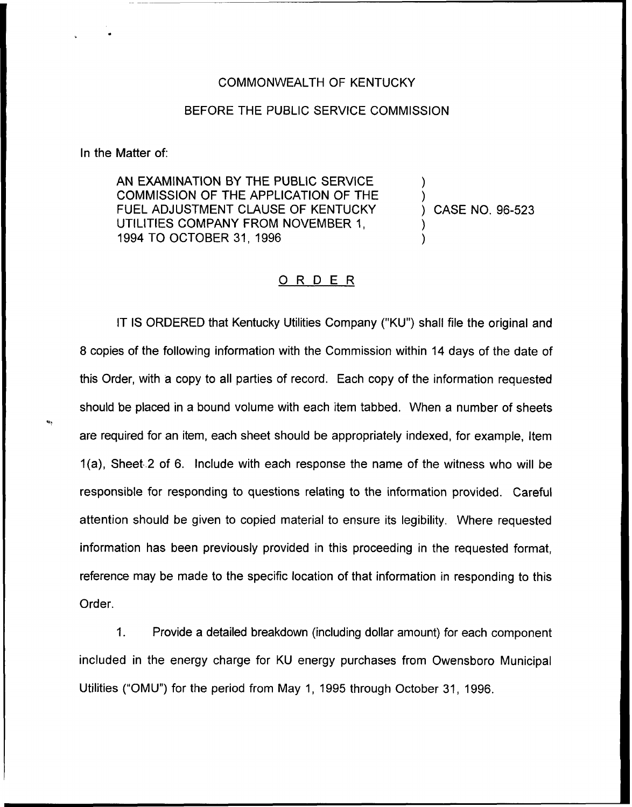## COMMONWEALTH OF KENTUCKY

## BEFORE THE PUBLIC SERVICE COMMISSION

In the Matter of:

AN EXAMINATION BY THE PUBLIC SERVICE COMMISSION OF THE APPLICATION OF THE FUEL ADJUSTMENT CLAUSE OF KENTUCKY UTILITIES COMPANY FROM NOVEMBER 1, 1994 TO OCTOBER 31, 1996

) CASE NO. 96-523

) )

) )

## ORDER

IT IS ORDERED that Kentucky Utilities Company ("KU") shall file the original and 8 copies of the following information with the Commission within 14 days of the date of this Order, with a copy to all parties of record. Each copy of the information requested should be placed in a bound volume with each item tabbed. When a number of sheets are required for an item, each sheet should be appropriately indexed, for example, Item 1(a), Sheet-2 of 6. Include with each response the name of the witness who will be responsible for responding to questions relating to the information provided. Careful attention should be given to copied material to ensure its legibility. Where requested information has been previously provided in this proceeding in the requested format, reference may be made to the specific location of that information in responding to this Order.

1. Provide a detailed breakdown (including dollar amount) for each component included in the energy charge for KU energy purchases from Owensboro Municipal Utilities ("OMU") for the period from May 1, 1995 through October 31, 1996.